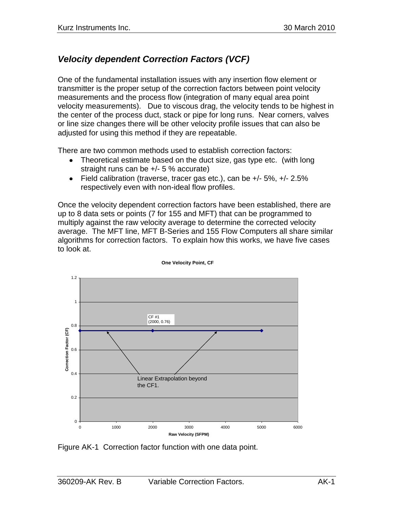# *Velocity dependent Correction Factors (VCF)*

One of the fundamental installation issues with any insertion flow element or transmitter is the proper setup of the correction factors between point velocity measurements and the process flow (integration of many equal area point velocity measurements). Due to viscous drag, the velocity tends to be highest in the center of the process duct, stack or pipe for long runs. Near corners, valves or line size changes there will be other velocity profile issues that can also be adjusted for using this method if they are repeatable.

There are two common methods used to establish correction factors:

- Theoretical estimate based on the duct size, gas type etc. (with long straight runs can be +/- 5 % accurate)
- Field calibration (traverse, tracer gas etc.), can be  $+/-5\%$ ,  $+/-2.5\%$ respectively even with non-ideal flow profiles.

Once the velocity dependent correction factors have been established, there are up to 8 data sets or points (7 for 155 and MFT) that can be programmed to multiply against the raw velocity average to determine the corrected velocity average. The MFT line, MFT B-Series and 155 Flow Computers all share similar algorithms for correction factors. To explain how this works, we have five cases to look at.



**One Velocity Point, CF**

Figure AK-1 Correction factor function with one data point.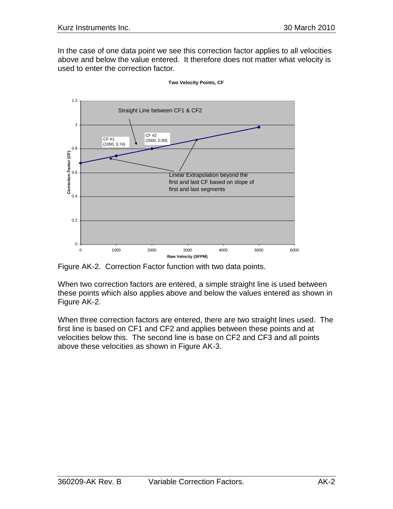In the case of one data point we see this correction factor applies to all velocities above and below the value entered. It therefore does not matter what velocity is used to enter the correction factor.



**Two Velocity Points, CF**

Figure AK-2. Correction Factor function with two data points.

When two correction factors are entered, a simple straight line is used between these points which also applies above and below the values entered as shown in Figure AK-2.

When three correction factors are entered, there are two straight lines used. The first line is based on CF1 and CF2 and applies between these points and at velocities below this. The second line is base on CF2 and CF3 and all points above these velocities as shown in Figure AK-3.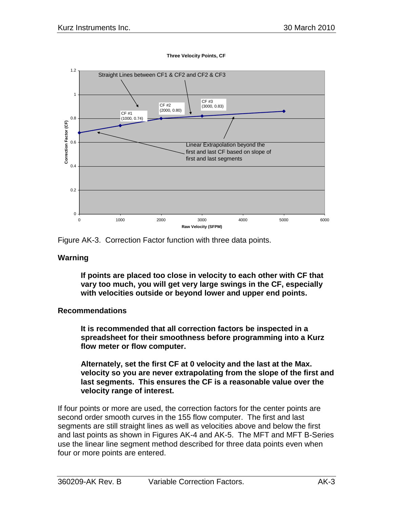

**Three Velocity Points, CF**

Figure AK-3. Correction Factor function with three data points.

#### **Warning**

**If points are placed too close in velocity to each other with CF that vary too much, you will get very large swings in the CF, especially with velocities outside or beyond lower and upper end points.** 

## **Recommendations**

**It is recommended that all correction factors be inspected in a spreadsheet for their smoothness before programming into a Kurz flow meter or flow computer.**

**Alternately, set the first CF at 0 velocity and the last at the Max. velocity so you are never extrapolating from the slope of the first and last segments. This ensures the CF is a reasonable value over the velocity range of interest.**

If four points or more are used, the correction factors for the center points are second order smooth curves in the 155 flow computer. The first and last segments are still straight lines as well as velocities above and below the first and last points as shown in Figures AK-4 and AK-5. The MFT and MFT B-Series use the linear line segment method described for three data points even when four or more points are entered.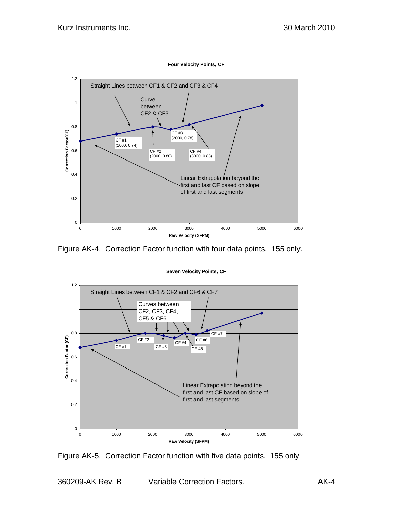

**Four Velocity Points, CF**

Figure AK-4. Correction Factor function with four data points. 155 only.



**Seven Velocity Points, CF**

Figure AK-5. Correction Factor function with five data points. 155 only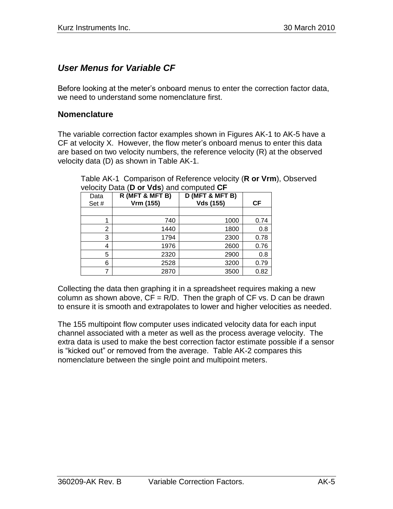# *User Menus for Variable CF*

Before looking at the meter's onboard menus to enter the correction factor data, we need to understand some nomenclature first.

## **Nomenclature**

The variable correction factor examples shown in Figures AK-1 to AK-5 have a CF at velocity X. However, the flow meter's onboard menus to enter this data are based on two velocity numbers, the reference velocity (R) at the observed velocity data (D) as shown in Table AK-1.

| Data | R (MFT & MFT B) | D (MFT & MFT B)  |      |
|------|-----------------|------------------|------|
| Set# | Vrm (155)       | <b>Vds (155)</b> | СF   |
|      |                 |                  |      |
|      | 740             | 1000             | 0.74 |
| 2    | 1440            | 1800             | 0.8  |
| 3    | 1794            | 2300             | 0.78 |
| 4    | 1976            | 2600             | 0.76 |
| 5    | 2320            | 2900             | 0.8  |
| 6    | 2528            | 3200             | 0.79 |
|      | 2870            | 3500             | 0.82 |

Table AK-1 Comparison of Reference velocity (**R or Vrm**), Observed velocity Data (**D or Vds**) and computed **CF**

Collecting the data then graphing it in a spreadsheet requires making a new column as shown above,  $CF = R/D$ . Then the graph of  $CF$  vs. D can be drawn to ensure it is smooth and extrapolates to lower and higher velocities as needed.

The 155 multipoint flow computer uses indicated velocity data for each input channel associated with a meter as well as the process average velocity. The extra data is used to make the best correction factor estimate possible if a sensor is "kicked out" or removed from the average. Table AK-2 compares this nomenclature between the single point and multipoint meters.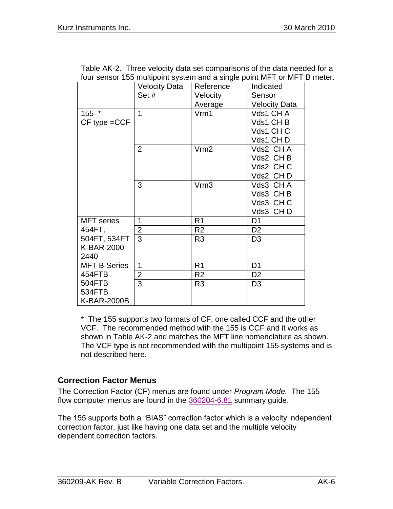| Table AK-2. Three velocity data set comparisons of the data needed for a |                                                                                                                                                                                                                                                                                                                                                                                                                                                                                                                                                          |  |  |  |
|--------------------------------------------------------------------------|----------------------------------------------------------------------------------------------------------------------------------------------------------------------------------------------------------------------------------------------------------------------------------------------------------------------------------------------------------------------------------------------------------------------------------------------------------------------------------------------------------------------------------------------------------|--|--|--|
| four sensor 155 multipoint system and a single point MFT or MFT B meter. |                                                                                                                                                                                                                                                                                                                                                                                                                                                                                                                                                          |  |  |  |
|                                                                          | $\bigcup_{\alpha} \bigcup_{\alpha} \bigcup_{\alpha} \bigcup_{\alpha} \bigcup_{\alpha} \bigcup_{\alpha} \bigcup_{\alpha} \bigcup_{\alpha} \bigcup_{\alpha} \bigcup_{\alpha} \bigcup_{\alpha} \bigcup_{\alpha} \bigcup_{\alpha} \bigcup_{\alpha} \bigcup_{\alpha} \bigcup_{\alpha} \bigcup_{\alpha} \bigcup_{\alpha} \bigcup_{\alpha} \bigcup_{\alpha} \bigcup_{\alpha} \bigcup_{\alpha} \bigcup_{\alpha} \bigcup_{\alpha} \bigcup_{\alpha} \bigcup_{\alpha} \bigcup_{\alpha} \bigcup_{\alpha} \bigcup_{\alpha} \bigcup_{\alpha} \bigcup_{\alpha} \bigcup$ |  |  |  |

|                     | <b>Velocity Data</b> | Reference      | Indicated            |
|---------------------|----------------------|----------------|----------------------|
|                     | Set#                 | Velocity       | Sensor               |
|                     |                      | Average        | <b>Velocity Data</b> |
| 155 *               | 1                    | Vrm1           | Vds1 CH A            |
| $CF$ type $= CCF$   |                      |                | Vds1 CH B            |
|                     |                      |                | Vds1 CHC             |
|                     |                      |                | Vds1 CHD             |
|                     | $\overline{2}$       | Vrm2           | Vds2 CHA             |
|                     |                      |                | Vds2 CHB             |
|                     |                      |                | Vds2 CHC             |
|                     |                      |                | Vds2 CHD             |
|                     | 3                    | Vrm3           | Vds3 CHA             |
|                     |                      |                | Vds3 CHB             |
|                     |                      |                | Vds3 CHC             |
|                     |                      |                | Vds3 CHD             |
| <b>MFT</b> series   | 1                    | R <sub>1</sub> | D <sub>1</sub>       |
| 454FT,              | $\overline{2}$       | R <sub>2</sub> | D <sub>2</sub>       |
| 504FT, 534FT        | 3                    | R <sub>3</sub> | D <sub>3</sub>       |
| K-BAR-2000          |                      |                |                      |
| 2440                |                      |                |                      |
| <b>MFT B-Series</b> | 1                    | R <sub>1</sub> | D <sub>1</sub>       |
| 454FTB              | $\overline{2}$       | R <sub>2</sub> | D <sub>2</sub>       |
| 504FTB              | $\overline{3}$       | R <sub>3</sub> | D <sub>3</sub>       |
| 534FTB              |                      |                |                      |
| <b>K-BAR-2000B</b>  |                      |                |                      |

\* The 155 supports two formats of CF, one called CCF and the other VCF. The recommended method with the 155 is CCF and it works as shown in Table AK-2 and matches the MFT line nomenclature as shown. The VCF type is not recommended with the multipoint 155 systems and is not described here.

## **Correction Factor Menus**

The Correction Factor (CF) menus are found under *Program Mode.* The 155 flow computer menus are found in the [360204-6.81](360204-6.81%20Summary%20Guide%20-%20Series%20155.pdf) summary guide.

The 155 supports both a "BIAS" correction factor which is a velocity independent correction factor, just like having one data set and the multiple velocity dependent correction factors.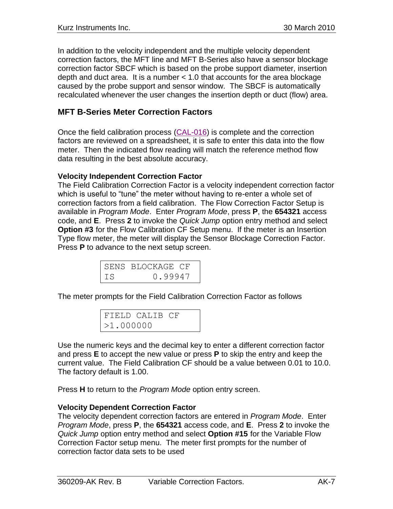In addition to the velocity independent and the multiple velocity dependent correction factors, the MFT line and MFT B-Series also have a sensor blockage correction factor SBCF which is based on the probe support diameter, insertion depth and duct area. It is a number < 1.0 that accounts for the area blockage caused by the probe support and sensor window. The SBCF is automatically recalculated whenever the user changes the insertion depth or duct (flow) area.

## **MFT B-Series Meter Correction Factors**

Once the field calibration process [\(CAL-016\)](CAL-016.pdf) is complete and the correction factors are reviewed on a spreadsheet, it is safe to enter this data into the flow meter. Then the indicated flow reading will match the reference method flow data resulting in the best absolute accuracy.

## **Velocity Independent Correction Factor**

The Field Calibration Correction Factor is a velocity independent correction factor which is useful to "tune" the meter without having to re-enter a whole set of correction factors from a field calibration. The Flow Correction Factor Setup is available in *Program Mode*. Enter *Program Mode*, press **P**, the **654321** access code, and **E**. Press **2** to invoke the *Quick Jump* option entry method and select **Option #3** for the Flow Calibration CF Setup menu. If the meter is an Insertion Type flow meter, the meter will display the Sensor Blockage Correction Factor. Press **P** to advance to the next setup screen.

|     | SENS BLOCKAGE CF |
|-----|------------------|
| IS. | 0.99947          |

The meter prompts for the Field Calibration Correction Factor as follows

|           | FIELD CALIB CF |  |
|-----------|----------------|--|
| >1.000000 |                |  |

Use the numeric keys and the decimal key to enter a different correction factor and press **E** to accept the new value or press **P** to skip the entry and keep the current value. The Field Calibration CF should be a value between 0.01 to 10.0. The factory default is 1.00.

Press **H** to return to the *Program Mode* option entry screen.

## **Velocity Dependent Correction Factor**

The velocity dependent correction factors are entered in *Program Mode*. Enter *Program Mode*, press **P**, the **654321** access code, and **E**. Press **2** to invoke the *Quick Jump* option entry method and select **Option #15** for the Variable Flow Correction Factor setup menu. The meter first prompts for the number of correction factor data sets to be used